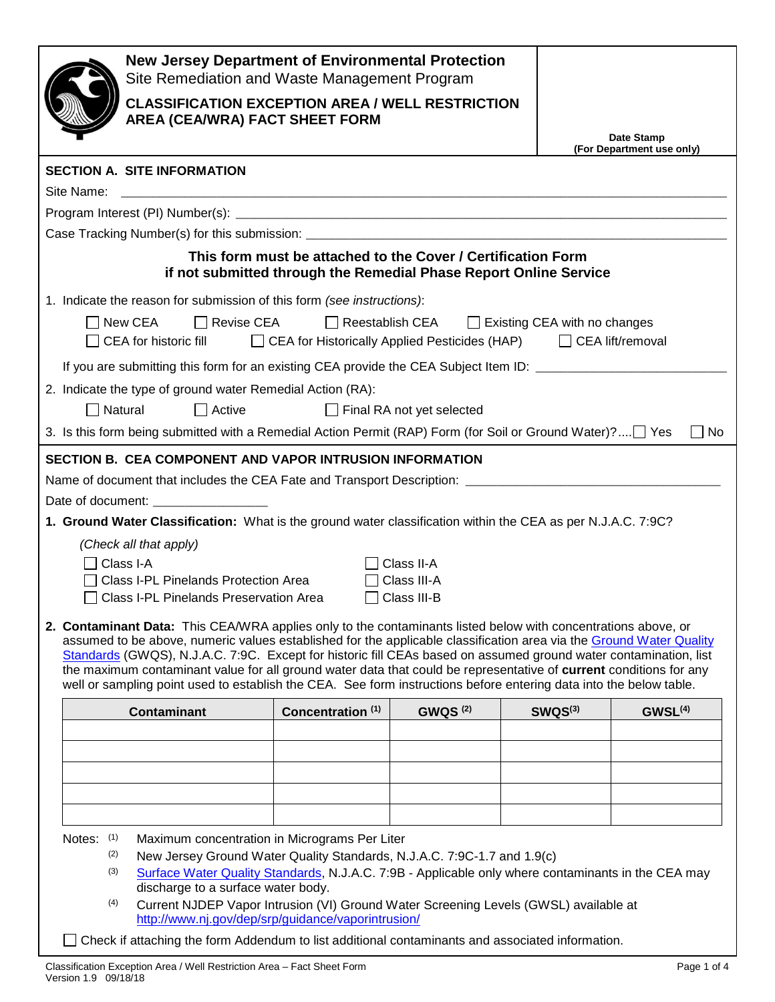| <b>New Jersey Department of Environmental Protection</b><br>Site Remediation and Waste Management Program                                                                                                                                                                                                                                                                                                                                                                                                                                                                                            |                                                                   |                            |                     |                                         |  |  |
|------------------------------------------------------------------------------------------------------------------------------------------------------------------------------------------------------------------------------------------------------------------------------------------------------------------------------------------------------------------------------------------------------------------------------------------------------------------------------------------------------------------------------------------------------------------------------------------------------|-------------------------------------------------------------------|----------------------------|---------------------|-----------------------------------------|--|--|
| <b>CLASSIFICATION EXCEPTION AREA / WELL RESTRICTION</b><br>AREA (CEA/WRA) FACT SHEET FORM                                                                                                                                                                                                                                                                                                                                                                                                                                                                                                            |                                                                   |                            |                     |                                         |  |  |
|                                                                                                                                                                                                                                                                                                                                                                                                                                                                                                                                                                                                      |                                                                   |                            |                     | Date Stamp<br>(For Department use only) |  |  |
| <b>SECTION A. SITE INFORMATION</b>                                                                                                                                                                                                                                                                                                                                                                                                                                                                                                                                                                   |                                                                   |                            |                     |                                         |  |  |
| Site Name:                                                                                                                                                                                                                                                                                                                                                                                                                                                                                                                                                                                           |                                                                   |                            |                     |                                         |  |  |
|                                                                                                                                                                                                                                                                                                                                                                                                                                                                                                                                                                                                      |                                                                   |                            |                     |                                         |  |  |
|                                                                                                                                                                                                                                                                                                                                                                                                                                                                                                                                                                                                      | This form must be attached to the Cover / Certification Form      |                            |                     |                                         |  |  |
|                                                                                                                                                                                                                                                                                                                                                                                                                                                                                                                                                                                                      | if not submitted through the Remedial Phase Report Online Service |                            |                     |                                         |  |  |
| 1. Indicate the reason for submission of this form (see instructions):                                                                                                                                                                                                                                                                                                                                                                                                                                                                                                                               |                                                                   |                            |                     |                                         |  |  |
| □ Revise CEA<br>□ Reestablish CEA □ Existing CEA with no changes<br>  New CEA<br>$\Box$ CEA lift/removal<br>□ CEA for historic fill □ CEA for Historically Applied Pesticides (HAP)                                                                                                                                                                                                                                                                                                                                                                                                                  |                                                                   |                            |                     |                                         |  |  |
| If you are submitting this form for an existing CEA provide the CEA Subject Item ID: _________________________                                                                                                                                                                                                                                                                                                                                                                                                                                                                                       |                                                                   |                            |                     |                                         |  |  |
| 2. Indicate the type of ground water Remedial Action (RA):                                                                                                                                                                                                                                                                                                                                                                                                                                                                                                                                           |                                                                   |                            |                     |                                         |  |  |
| $\Box$ Natural<br>$\Box$ Active                                                                                                                                                                                                                                                                                                                                                                                                                                                                                                                                                                      |                                                                   | Final RA not yet selected  |                     |                                         |  |  |
| 3. Is this form being submitted with a Remedial Action Permit (RAP) Form (for Soil or Ground Water)? Yes                                                                                                                                                                                                                                                                                                                                                                                                                                                                                             |                                                                   |                            |                     | No                                      |  |  |
| SECTION B. CEA COMPONENT AND VAPOR INTRUSION INFORMATION                                                                                                                                                                                                                                                                                                                                                                                                                                                                                                                                             |                                                                   |                            |                     |                                         |  |  |
|                                                                                                                                                                                                                                                                                                                                                                                                                                                                                                                                                                                                      |                                                                   |                            |                     |                                         |  |  |
| Date of document: ___________________<br>1. Ground Water Classification: What is the ground water classification within the CEA as per N.J.A.C. 7:9C?                                                                                                                                                                                                                                                                                                                                                                                                                                                |                                                                   |                            |                     |                                         |  |  |
| (Check all that apply)                                                                                                                                                                                                                                                                                                                                                                                                                                                                                                                                                                               |                                                                   |                            |                     |                                         |  |  |
| Class I-A                                                                                                                                                                                                                                                                                                                                                                                                                                                                                                                                                                                            |                                                                   | Class II-A                 |                     |                                         |  |  |
| Class I-PL Pinelands Protection Area<br>Class I-PL Pinelands Preservation Area                                                                                                                                                                                                                                                                                                                                                                                                                                                                                                                       |                                                                   | Class III-A<br>Class III-B |                     |                                         |  |  |
| 2. Contaminant Data: This CEA/WRA applies only to the contaminants listed below with concentrations above, or<br>assumed to be above, numeric values established for the applicable classification area via the Ground Water Quality<br>Standards (GWQS), N.J.A.C. 7:9C. Except for historic fill CEAs based on assumed ground water contamination, list<br>the maximum contaminant value for all ground water data that could be representative of current conditions for any<br>well or sampling point used to establish the CEA. See form instructions before entering data into the below table. |                                                                   |                            |                     |                                         |  |  |
| <b>Contaminant</b>                                                                                                                                                                                                                                                                                                                                                                                                                                                                                                                                                                                   | Concentration <sup>(1)</sup>                                      | <b>GWQS (2)</b>            | SWQS <sup>(3)</sup> | GWSL <sup>(4)</sup>                     |  |  |
|                                                                                                                                                                                                                                                                                                                                                                                                                                                                                                                                                                                                      |                                                                   |                            |                     |                                         |  |  |
|                                                                                                                                                                                                                                                                                                                                                                                                                                                                                                                                                                                                      |                                                                   |                            |                     |                                         |  |  |
|                                                                                                                                                                                                                                                                                                                                                                                                                                                                                                                                                                                                      |                                                                   |                            |                     |                                         |  |  |
|                                                                                                                                                                                                                                                                                                                                                                                                                                                                                                                                                                                                      |                                                                   |                            |                     |                                         |  |  |
| Notes: $(1)$<br>Maximum concentration in Micrograms Per Liter                                                                                                                                                                                                                                                                                                                                                                                                                                                                                                                                        |                                                                   |                            |                     |                                         |  |  |
| (2)<br>New Jersey Ground Water Quality Standards, N.J.A.C. 7:9C-1.7 and 1.9(c)                                                                                                                                                                                                                                                                                                                                                                                                                                                                                                                       |                                                                   |                            |                     |                                         |  |  |
| (3)<br>Surface Water Quality Standards, N.J.A.C. 7:9B - Applicable only where contaminants in the CEA may<br>discharge to a surface water body.                                                                                                                                                                                                                                                                                                                                                                                                                                                      |                                                                   |                            |                     |                                         |  |  |
| (4)<br>Current NJDEP Vapor Intrusion (VI) Ground Water Screening Levels (GWSL) available at<br>http://www.nj.gov/dep/srp/guidance/vaporintrusion/                                                                                                                                                                                                                                                                                                                                                                                                                                                    |                                                                   |                            |                     |                                         |  |  |
| Check if attaching the form Addendum to list additional contaminants and associated information.                                                                                                                                                                                                                                                                                                                                                                                                                                                                                                     |                                                                   |                            |                     |                                         |  |  |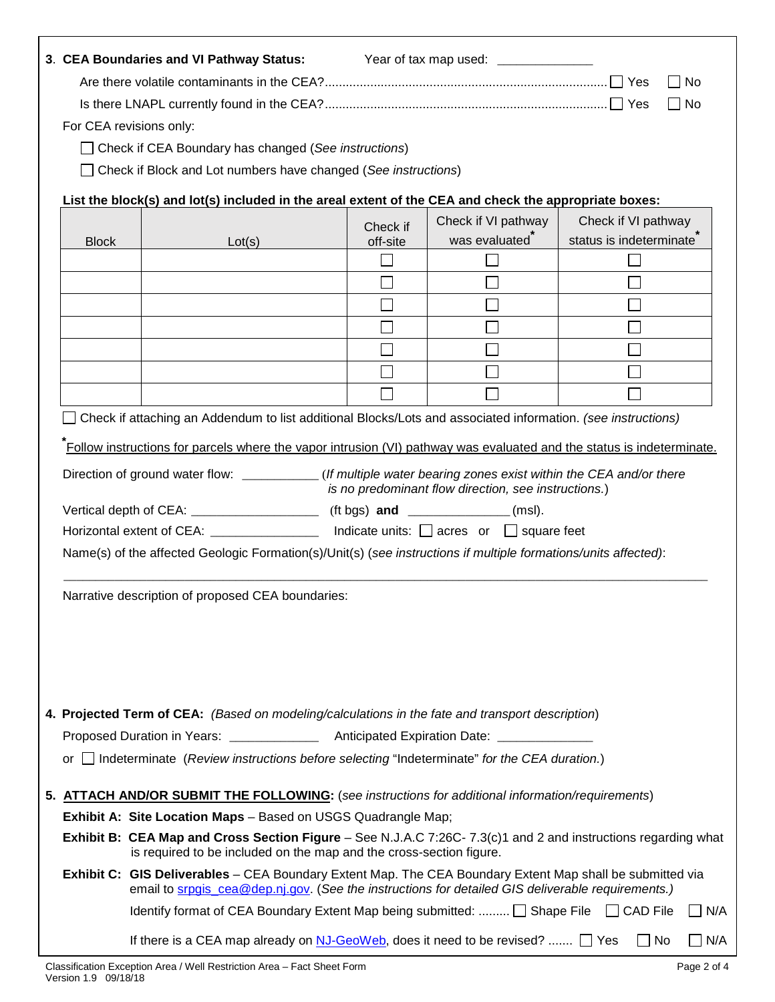|                                                                                                                       |                                                                                                                                                                                      | 3. CEA Boundaries and VI Pathway Status:<br>Year of tax map used: _______________<br>$\Box$ No                                                                                                                 |                      |                                                      |                         |                     |  |  |  |
|-----------------------------------------------------------------------------------------------------------------------|--------------------------------------------------------------------------------------------------------------------------------------------------------------------------------------|----------------------------------------------------------------------------------------------------------------------------------------------------------------------------------------------------------------|----------------------|------------------------------------------------------|-------------------------|---------------------|--|--|--|
|                                                                                                                       | $\Box$ No                                                                                                                                                                            |                                                                                                                                                                                                                |                      |                                                      |                         |                     |  |  |  |
|                                                                                                                       | For CEA revisions only:                                                                                                                                                              |                                                                                                                                                                                                                |                      |                                                      |                         |                     |  |  |  |
|                                                                                                                       |                                                                                                                                                                                      | □ Check if CEA Boundary has changed (See instructions)                                                                                                                                                         |                      |                                                      |                         |                     |  |  |  |
|                                                                                                                       |                                                                                                                                                                                      | □ Check if Block and Lot numbers have changed (See instructions)<br>List the block(s) and lot(s) included in the areal extent of the CEA and check the appropriate boxes:                                      |                      |                                                      |                         |                     |  |  |  |
|                                                                                                                       |                                                                                                                                                                                      |                                                                                                                                                                                                                |                      |                                                      |                         |                     |  |  |  |
|                                                                                                                       |                                                                                                                                                                                      |                                                                                                                                                                                                                |                      | Check if VI pathway                                  | Check if VI pathway     |                     |  |  |  |
|                                                                                                                       | <b>Block</b>                                                                                                                                                                         | Lot(s)                                                                                                                                                                                                         | Check if<br>off-site | was evaluated <sup>®</sup>                           | status is indeterminate |                     |  |  |  |
|                                                                                                                       |                                                                                                                                                                                      |                                                                                                                                                                                                                |                      |                                                      |                         |                     |  |  |  |
|                                                                                                                       |                                                                                                                                                                                      |                                                                                                                                                                                                                |                      |                                                      |                         |                     |  |  |  |
|                                                                                                                       |                                                                                                                                                                                      |                                                                                                                                                                                                                |                      |                                                      |                         |                     |  |  |  |
|                                                                                                                       |                                                                                                                                                                                      |                                                                                                                                                                                                                |                      |                                                      |                         |                     |  |  |  |
|                                                                                                                       |                                                                                                                                                                                      |                                                                                                                                                                                                                |                      |                                                      |                         |                     |  |  |  |
|                                                                                                                       |                                                                                                                                                                                      |                                                                                                                                                                                                                |                      |                                                      |                         |                     |  |  |  |
|                                                                                                                       |                                                                                                                                                                                      |                                                                                                                                                                                                                |                      |                                                      |                         |                     |  |  |  |
|                                                                                                                       |                                                                                                                                                                                      | Check if attaching an Addendum to list additional Blocks/Lots and associated information. (see instructions)                                                                                                   |                      |                                                      |                         |                     |  |  |  |
|                                                                                                                       |                                                                                                                                                                                      |                                                                                                                                                                                                                |                      |                                                      |                         |                     |  |  |  |
| Follow instructions for parcels where the vapor intrusion (VI) pathway was evaluated and the status is indeterminate. |                                                                                                                                                                                      |                                                                                                                                                                                                                |                      |                                                      |                         |                     |  |  |  |
|                                                                                                                       |                                                                                                                                                                                      | Direction of ground water flow: ___________(If multiple water bearing zones exist within the CEA and/or there                                                                                                  |                      | is no predominant flow direction, see instructions.) |                         |                     |  |  |  |
| Vertical depth of CEA: _______________________ (ft bgs) and ______________(msl).                                      |                                                                                                                                                                                      |                                                                                                                                                                                                                |                      |                                                      |                         |                     |  |  |  |
| Horizontal extent of CEA: __________________ Indicate units: □ acres or □ square feet                                 |                                                                                                                                                                                      |                                                                                                                                                                                                                |                      |                                                      |                         |                     |  |  |  |
|                                                                                                                       | Name(s) of the affected Geologic Formation(s)/Unit(s) (see instructions if multiple formations/units affected):                                                                      |                                                                                                                                                                                                                |                      |                                                      |                         |                     |  |  |  |
|                                                                                                                       |                                                                                                                                                                                      |                                                                                                                                                                                                                |                      |                                                      |                         |                     |  |  |  |
|                                                                                                                       | Narrative description of proposed CEA boundaries:                                                                                                                                    |                                                                                                                                                                                                                |                      |                                                      |                         |                     |  |  |  |
|                                                                                                                       |                                                                                                                                                                                      |                                                                                                                                                                                                                |                      |                                                      |                         |                     |  |  |  |
|                                                                                                                       |                                                                                                                                                                                      |                                                                                                                                                                                                                |                      |                                                      |                         |                     |  |  |  |
|                                                                                                                       |                                                                                                                                                                                      |                                                                                                                                                                                                                |                      |                                                      |                         |                     |  |  |  |
|                                                                                                                       |                                                                                                                                                                                      |                                                                                                                                                                                                                |                      |                                                      |                         |                     |  |  |  |
|                                                                                                                       |                                                                                                                                                                                      |                                                                                                                                                                                                                |                      |                                                      |                         |                     |  |  |  |
|                                                                                                                       |                                                                                                                                                                                      | 4. Projected Term of CEA: (Based on modeling/calculations in the fate and transport description)                                                                                                               |                      |                                                      |                         |                     |  |  |  |
|                                                                                                                       |                                                                                                                                                                                      |                                                                                                                                                                                                                |                      |                                                      |                         |                     |  |  |  |
|                                                                                                                       |                                                                                                                                                                                      | or Indeterminate (Review instructions before selecting "Indeterminate" for the CEA duration.)                                                                                                                  |                      |                                                      |                         |                     |  |  |  |
|                                                                                                                       |                                                                                                                                                                                      | 5. ATTACH AND/OR SUBMIT THE FOLLOWING: (see instructions for additional information/requirements)                                                                                                              |                      |                                                      |                         |                     |  |  |  |
|                                                                                                                       |                                                                                                                                                                                      | <b>Exhibit A: Site Location Maps</b> - Based on USGS Quadrangle Map;                                                                                                                                           |                      |                                                      |                         |                     |  |  |  |
|                                                                                                                       | Exhibit B: CEA Map and Cross Section Figure – See N.J.A.C 7:26C-7.3(c)1 and 2 and instructions regarding what<br>is required to be included on the map and the cross-section figure. |                                                                                                                                                                                                                |                      |                                                      |                         |                     |  |  |  |
|                                                                                                                       |                                                                                                                                                                                      | Exhibit C: GIS Deliverables - CEA Boundary Extent Map. The CEA Boundary Extent Map shall be submitted via<br>email to srpgis cea@dep.nj.gov. (See the instructions for detailed GIS deliverable requirements.) |                      |                                                      |                         |                     |  |  |  |
|                                                                                                                       |                                                                                                                                                                                      | Identify format of CEA Boundary Extent Map being submitted:  □ Shape File □ CAD File                                                                                                                           |                      |                                                      |                         | N/A<br>$\mathbf{L}$ |  |  |  |
|                                                                                                                       |                                                                                                                                                                                      | If there is a CEA map already on $NJ-GeoWeb$ , does it need to be revised? $\Box$ Yes                                                                                                                          |                      |                                                      | $\Box$ No               | N/A                 |  |  |  |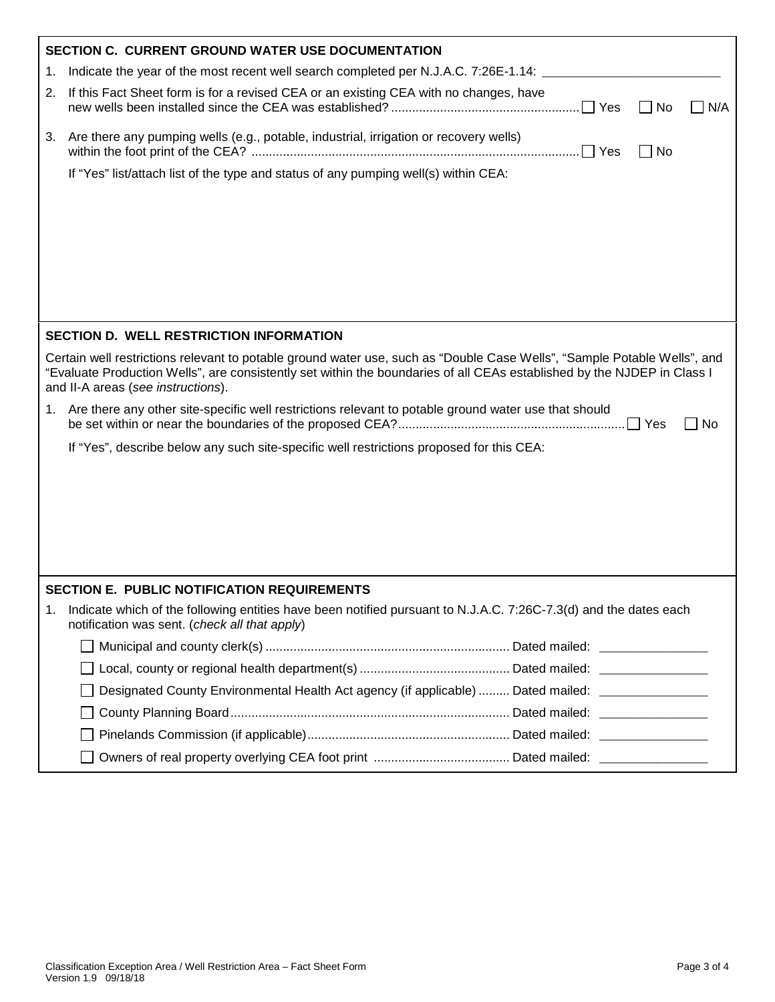|    | <b>SECTION C. CURRENT GROUND WATER USE DOCUMENTATION</b>                                                                                                                                                                                                                                  |  |  |  |  |  |  |
|----|-------------------------------------------------------------------------------------------------------------------------------------------------------------------------------------------------------------------------------------------------------------------------------------------|--|--|--|--|--|--|
| 1. | Indicate the year of the most recent well search completed per N.J.A.C. 7:26E-1.14:                                                                                                                                                                                                       |  |  |  |  |  |  |
| 2. | If this Fact Sheet form is for a revised CEA or an existing CEA with no changes, have<br>Yes<br>No<br>N/A                                                                                                                                                                                 |  |  |  |  |  |  |
| 3. | Are there any pumping wells (e.g., potable, industrial, irrigation or recovery wells)<br><b>No</b>                                                                                                                                                                                        |  |  |  |  |  |  |
|    | If "Yes" list/attach list of the type and status of any pumping well(s) within CEA:                                                                                                                                                                                                       |  |  |  |  |  |  |
|    |                                                                                                                                                                                                                                                                                           |  |  |  |  |  |  |
|    |                                                                                                                                                                                                                                                                                           |  |  |  |  |  |  |
|    |                                                                                                                                                                                                                                                                                           |  |  |  |  |  |  |
|    |                                                                                                                                                                                                                                                                                           |  |  |  |  |  |  |
|    |                                                                                                                                                                                                                                                                                           |  |  |  |  |  |  |
|    |                                                                                                                                                                                                                                                                                           |  |  |  |  |  |  |
|    |                                                                                                                                                                                                                                                                                           |  |  |  |  |  |  |
|    | <b>SECTION D. WELL RESTRICTION INFORMATION</b>                                                                                                                                                                                                                                            |  |  |  |  |  |  |
|    | Certain well restrictions relevant to potable ground water use, such as "Double Case Wells", "Sample Potable Wells", and<br>"Evaluate Production Wells", are consistently set within the boundaries of all CEAs established by the NJDEP in Class I<br>and II-A areas (see instructions). |  |  |  |  |  |  |
|    | 1. Are there any other site-specific well restrictions relevant to potable ground water use that should<br><b>No</b>                                                                                                                                                                      |  |  |  |  |  |  |
|    | If "Yes", describe below any such site-specific well restrictions proposed for this CEA:                                                                                                                                                                                                  |  |  |  |  |  |  |
|    |                                                                                                                                                                                                                                                                                           |  |  |  |  |  |  |
|    |                                                                                                                                                                                                                                                                                           |  |  |  |  |  |  |
|    |                                                                                                                                                                                                                                                                                           |  |  |  |  |  |  |
|    |                                                                                                                                                                                                                                                                                           |  |  |  |  |  |  |
|    |                                                                                                                                                                                                                                                                                           |  |  |  |  |  |  |
|    |                                                                                                                                                                                                                                                                                           |  |  |  |  |  |  |
|    | <b>SECTION E. PUBLIC NOTIFICATION REQUIREMENTS</b>                                                                                                                                                                                                                                        |  |  |  |  |  |  |
| 1. | Indicate which of the following entities have been notified pursuant to N.J.A.C. 7:26C-7.3(d) and the dates each<br>notification was sent. (check all that apply)                                                                                                                         |  |  |  |  |  |  |
|    |                                                                                                                                                                                                                                                                                           |  |  |  |  |  |  |
|    |                                                                                                                                                                                                                                                                                           |  |  |  |  |  |  |
|    | Designated County Environmental Health Act agency (if applicable)  Dated mailed: ________________                                                                                                                                                                                         |  |  |  |  |  |  |
|    |                                                                                                                                                                                                                                                                                           |  |  |  |  |  |  |
|    |                                                                                                                                                                                                                                                                                           |  |  |  |  |  |  |
|    |                                                                                                                                                                                                                                                                                           |  |  |  |  |  |  |
|    |                                                                                                                                                                                                                                                                                           |  |  |  |  |  |  |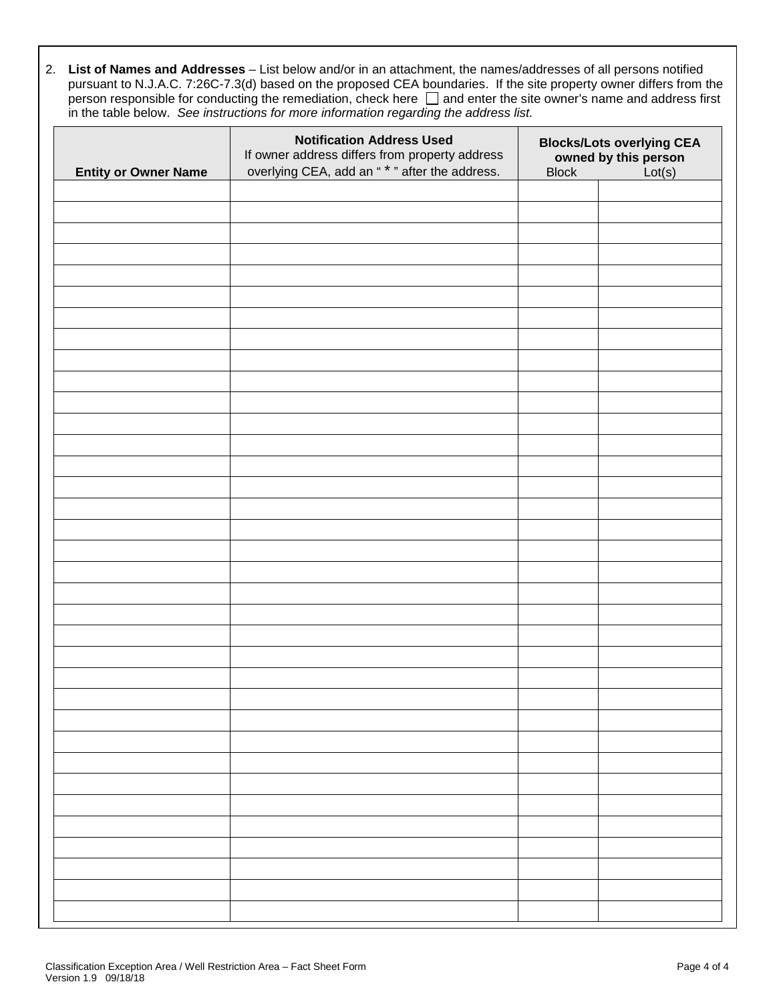2. **List of Names and Addresses** – List below and/or in an attachment, the names/addresses of all persons notified pursuant to N.J.A.C. 7:26C-7.3(d) based on the proposed CEA boundaries. If the site property owner differs from the person responsible for conducting the remediation, check here  $\Box$  and enter the site owner's name and address first in the table below. *See instructions for more information regarding the address list.*

| <b>Entity or Owner Name</b> | <b>Notification Address Used</b><br>If owner address differs from property address<br>overlying CEA, add an " * " after the address. | <b>Block</b> | <b>Blocks/Lots overlying CEA</b><br>owned by this person<br>Lot(s) |
|-----------------------------|--------------------------------------------------------------------------------------------------------------------------------------|--------------|--------------------------------------------------------------------|
|                             |                                                                                                                                      |              |                                                                    |
|                             |                                                                                                                                      |              |                                                                    |
|                             |                                                                                                                                      |              |                                                                    |
|                             |                                                                                                                                      |              |                                                                    |
|                             |                                                                                                                                      |              |                                                                    |
|                             |                                                                                                                                      |              |                                                                    |
|                             |                                                                                                                                      |              |                                                                    |
|                             |                                                                                                                                      |              |                                                                    |
|                             |                                                                                                                                      |              |                                                                    |
|                             |                                                                                                                                      |              |                                                                    |
|                             |                                                                                                                                      |              |                                                                    |
|                             |                                                                                                                                      |              |                                                                    |
|                             |                                                                                                                                      |              |                                                                    |
|                             |                                                                                                                                      |              |                                                                    |
|                             |                                                                                                                                      |              |                                                                    |
|                             |                                                                                                                                      |              |                                                                    |
|                             |                                                                                                                                      |              |                                                                    |
|                             |                                                                                                                                      |              |                                                                    |
|                             |                                                                                                                                      |              |                                                                    |
|                             |                                                                                                                                      |              |                                                                    |
|                             |                                                                                                                                      |              |                                                                    |
|                             |                                                                                                                                      |              |                                                                    |
|                             |                                                                                                                                      |              |                                                                    |
|                             |                                                                                                                                      |              |                                                                    |
|                             |                                                                                                                                      |              |                                                                    |
|                             |                                                                                                                                      |              |                                                                    |
|                             |                                                                                                                                      |              |                                                                    |
|                             |                                                                                                                                      |              |                                                                    |
|                             |                                                                                                                                      |              |                                                                    |
|                             |                                                                                                                                      |              |                                                                    |
|                             |                                                                                                                                      |              |                                                                    |
|                             |                                                                                                                                      |              |                                                                    |
|                             |                                                                                                                                      |              |                                                                    |
|                             |                                                                                                                                      |              |                                                                    |
|                             |                                                                                                                                      |              |                                                                    |
|                             |                                                                                                                                      |              |                                                                    |
|                             |                                                                                                                                      |              |                                                                    |
|                             |                                                                                                                                      |              |                                                                    |
|                             |                                                                                                                                      |              |                                                                    |
|                             |                                                                                                                                      |              |                                                                    |
|                             |                                                                                                                                      |              |                                                                    |